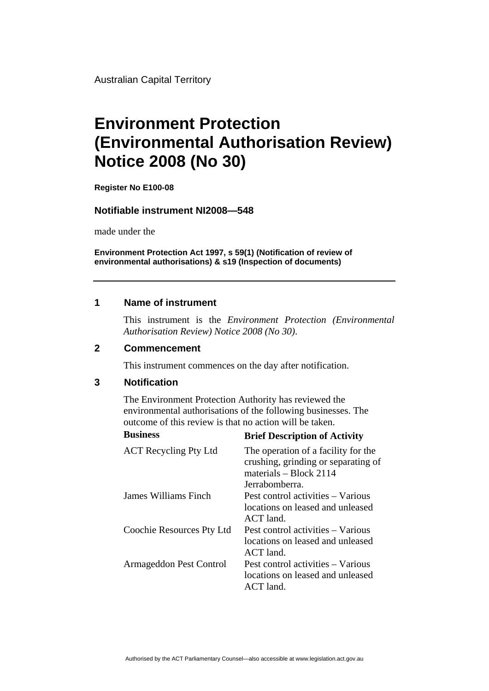Australian Capital Territory

# **Environment Protection (Environmental Authorisation Review) Notice 2008 (No 30)**

**Register No E100-08**

#### **Notifiable instrument NI2008—548**

made under the

**Environment Protection Act 1997, s 59(1) (Notification of review of environmental authorisations) & s19 (Inspection of documents)**

## **1 Name of instrument**

This instrument is the *Environment Protection (Environmental Authorisation Review) Notice 2008 (No 30)*.

#### **2 Commencement**

This instrument commences on the day after notification.

## **3 Notification**

The Environment Protection Authority has reviewed the environmental authorisations of the following businesses. The outcome of this review is that no action will be taken.

| <b>Business</b>              | <b>Brief Description of Activity</b>                                                                                     |
|------------------------------|--------------------------------------------------------------------------------------------------------------------------|
| <b>ACT</b> Recycling Pty Ltd | The operation of a facility for the<br>crushing, grinding or separating of<br>materials $-$ Block 2114<br>Jerrabomberra. |
| James Williams Finch         | Pest control activities – Various<br>locations on leased and unleased<br>$ACT$ land.                                     |
| Coochie Resources Pty Ltd    | Pest control activities – Various<br>locations on leased and unleased<br>$ACT$ land.                                     |
| Armageddon Pest Control      | Pest control activities – Various<br>locations on leased and unleased<br>ACT land.                                       |